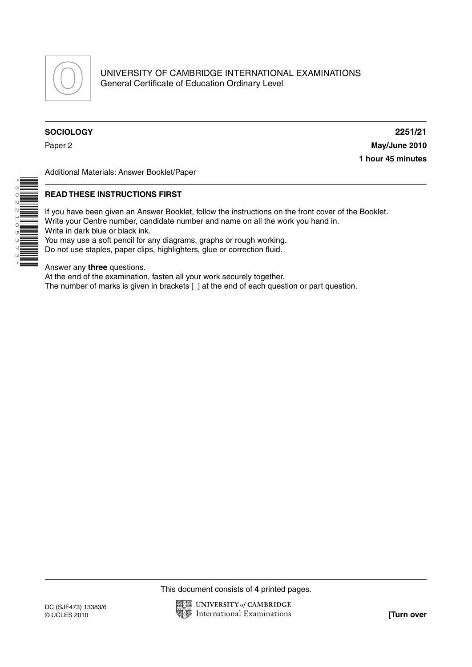

## **SOCIOLOGY 2251/21**

\* ወነ 0 N<br>N<br>H

 $\overline{N}$ 

0<br>253

O<br>U

\*

Paper 2 **May/June 2010 1 hour 45 minutes**

Additional Materials: Answer Booklet/Paper

## **READ THESE INSTRUCTIONS FIRST**

If you have been given an Answer Booklet, follow the instructions on the front cover of the Booklet. Write your Centre number, candidate number and name on all the work you hand in. Write in dark blue or black ink. You may use a soft pencil for any diagrams, graphs or rough working.

Do not use staples, paper clips, highlighters, glue or correction fluid.

Answer any **three** questions.

At the end of the examination, fasten all your work securely together.

The number of marks is given in brackets [ ] at the end of each question or part question.

This document consists of **4** printed pages.

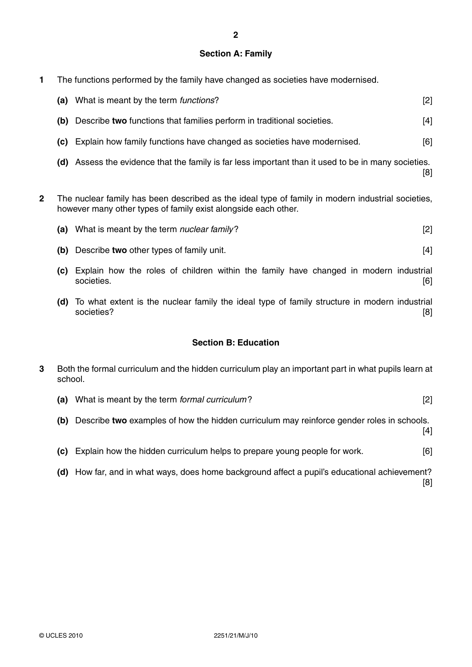## **Section A: Family**

**1** The functions performed by the family have changed as societies have modernised.

| (a) | What is meant by the term <i>functions</i> ?                                                    | [2] |
|-----|-------------------------------------------------------------------------------------------------|-----|
| (b) | Describe two functions that families perform in traditional societies.                          | [4] |
| (C) | Explain how family functions have changed as societies have modernised.                         | [6] |
| (d) | Assess the evidence that the family is far less important than it used to be in many societies. | [8] |

**2** The nuclear family has been described as the ideal type of family in modern industrial societies, however many other types of family exist alongside each other.

- **(b)** Describe **two** other types of family unit. [4]
- **(c)** Explain how the roles of children within the family have changed in modern industrial societies. [6]
- **(d)** To what extent is the nuclear family the ideal type of family structure in modern industrial societies? [8]

# **Section B: Education**

- **3** Both the formal curriculum and the hidden curriculum play an important part in what pupils learn at school.
	- **(a)** What is meant by the term *formal curriculum* ? [2]
	- **(b)** Describe **two** examples of how the hidden curriculum may reinforce gender roles in schools.

[4]

- **(c)** Explain how the hidden curriculum helps to prepare young people for work. [6]
- **(d)** How far, and in what ways, does home background affect a pupil's educational achievement? [8]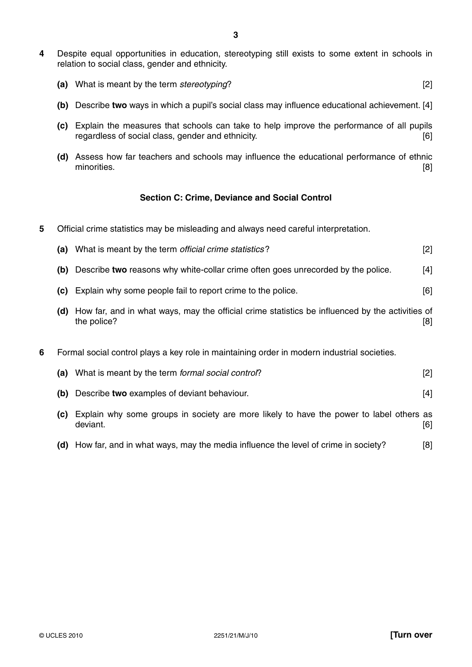**4** Despite equal opportunities in education, stereotyping still exists to some extent in schools in relation to social class, gender and ethnicity.

| , What is meant by the term stereotyping? |  |
|-------------------------------------------|--|
|                                           |  |

- **(b)** Describe **two** ways in which a pupil's social class may influence educational achievement. [4]
- **(c)** Explain the measures that schools can take to help improve the performance of all pupils regardless of social class, gender and ethnicity. [6]
- **(d)** Assess how far teachers and schools may influence the educational performance of ethnic minorities. [8]

### **Section C: Crime, Deviance and Social Control**

**5** Official crime statistics may be misleading and always need careful interpretation.

|  |  | What is meant by the term official crime statistics? |  |  |
|--|--|------------------------------------------------------|--|--|
|--|--|------------------------------------------------------|--|--|

- **(b)** Describe **two** reasons why white-collar crime often goes unrecorded by the police. [4]
- **(c)** Explain why some people fail to report crime to the police. [6]
- **(d)** How far, and in what ways, may the official crime statistics be influenced by the activities of the police? [8] **[8]**
- **6** Formal social control plays a key role in maintaining order in modern industrial societies.

| (a) | What is meant by the term formal social control?                                                                | [2]        |
|-----|-----------------------------------------------------------------------------------------------------------------|------------|
|     | (b) Describe two examples of deviant behaviour.                                                                 | [4]        |
| (C) | Explain why some groups in society are more likely to have the power to label others as<br>deviant.             | [6]        |
|     | / 11 / 11 / 11 / 11 / 11 / 11 / 11 / 11 / 11 / 11 / 11 / 11 / 11 / 11 / 11 / 11 / 11 / 11 / 11 / 11 / 11 / 11 / | <b>FA1</b> |

 **(d)** How far, and in what ways, may the media influence the level of crime in society? [8]